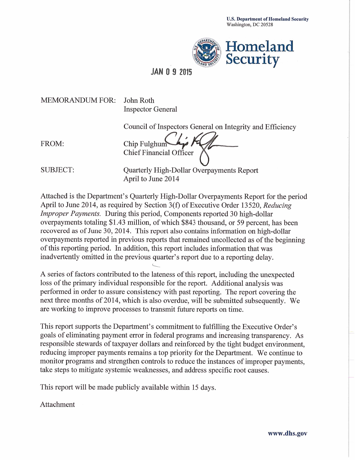

# **JAN 0 9 2015**

**MEMORANDUM FOR:** 

John Roth **Inspector General** 

Council of Inspectors General on Integrity and Efficiency

FROM:

Chip Fulghum **Chief Financial Officer** 

**SUBJECT:** 

Quarterly High-Dollar Overpayments Report April to June 2014

Attached is the Department's Quarterly High-Dollar Overpayments Report for the period April to June 2014, as required by Section 3(f) of Executive Order 13520, Reducing *Improper Payments.* During this period, Components reported 30 high-dollar overpayments totaling \$1.43 million, of which \$843 thousand, or 59 percent, has been recovered as of June 30, 2014. This report also contains information on high-dollar overpayments reported in previous reports that remained uncollected as of the beginning of this reporting period. In addition, this report includes information that was inadvertently omitted in the previous quarter's report due to a reporting delay.

A series of factors contributed to the lateness of this report, including the unexpected loss of the primary individual responsible for the report. Additional analysis was performed in order to assure consistency with past reporting. The report covering the next three months of 2014, which is also overdue, will be submitted subsequently. We are working to improve processes to transmit future reports on time.

This report supports the Department's commitment to fulfilling the Executive Order's goals of eliminating payment error in federal programs and increasing transparency. As responsible stewards of taxpayer dollars and reinforced by the tight budget environment, reducing improper payments remains a top priority for the Department. We continue to monitor programs and strengthen controls to reduce the instances of improper payments, take steps to mitigate systemic weaknesses, and address specific root causes.

This report will be made publicly available within 15 days.

Attachment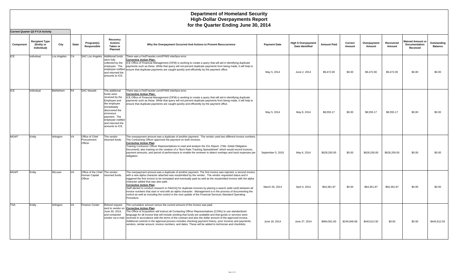|             | <b>Current Quarter Q3 FY14 Activity</b>            |             |              |                                                            |                                                                                                                                                                                                           |                                                                                                                                                                                                                                                                                                                                                                                                                                                                                                                                                                                                                                                                                                                                                                                |                     |                                                      |                    |                   |                       |                     |                                                             |                               |
|-------------|----------------------------------------------------|-------------|--------------|------------------------------------------------------------|-----------------------------------------------------------------------------------------------------------------------------------------------------------------------------------------------------------|--------------------------------------------------------------------------------------------------------------------------------------------------------------------------------------------------------------------------------------------------------------------------------------------------------------------------------------------------------------------------------------------------------------------------------------------------------------------------------------------------------------------------------------------------------------------------------------------------------------------------------------------------------------------------------------------------------------------------------------------------------------------------------|---------------------|------------------------------------------------------|--------------------|-------------------|-----------------------|---------------------|-------------------------------------------------------------|-------------------------------|
| Component   | <b>Recipient Type</b><br>(Entity or<br>Individual) | City        | <b>State</b> | Program(s)<br>Responsible                                  | Recovery<br><b>Actions</b><br>Taken or<br>Planned                                                                                                                                                         | Why the Overpayment Occurred And Actions to Prevent Reoccurrence                                                                                                                                                                                                                                                                                                                                                                                                                                                                                                                                                                                                                                                                                                               | <b>Payment Date</b> | <b>High \$ Overpayment</b><br><b>Date Identified</b> | <b>Amount Paid</b> | Correct<br>Amount | Overpayment<br>Amount | Recovered<br>Amount | <b>Waived Amount or</b><br><b>Documentation</b><br>Received | Outstanding<br><b>Balance</b> |
| ICE         | Individual                                         | Los Angeles | <b>CA</b>    | SAC Los Angeles Additional funds                           | vere fully<br>collected by the<br>employee. The<br>and returned the<br>amounts to ICE.                                                                                                                    | There was a FedTraveler.com/FFMS interface error.<br><b>Corrective Action Plan:</b><br>ICE Office of Financial Management (OFM) is working to create a query that will aid in identifying duplicate<br>payments such as these. While that query will not prevent duplicate payments from being made, it will help to<br>employee notified ensure that duplicate payments are caught quickly and efficiently by the payment office.                                                                                                                                                                                                                                                                                                                                             | May 5, 2014         | June 2, 2014                                         | \$9,472.00         | \$0.00            | \$9,472.00            | \$9,472.00          | \$0.00                                                      | \$0.00                        |
| ICE         | Individual                                         | Bethlehem   | <b>PA</b>    | <b>SAC Newark</b>                                          | The additional<br>funds were<br>received by the<br>Employee and<br>the employee<br>immediately<br>discovered the<br>erroneous<br>pavment. The<br>employee notified<br>and returned the<br>amounts to ICE. | There was a FedTraveler.com/FFMS interface error.<br><b>Corrective Action Plan:</b><br>ICE Office of Financial Management (OFM) is working to create a query that will aid in identifying duplicate<br>payments such as these. While that query will not prevent duplicate payments from being made, it will help to<br>ensure that duplicate payments are caught quickly and efficiently by the payment office.                                                                                                                                                                                                                                                                                                                                                               | May 5, 2014         | May 8, 2014                                          | \$8,555.17         | \$0.00            | \$8,555.17            | \$8,555.17          | \$0.00                                                      | \$0.00                        |
| MGMT        | Entity                                             | Arlington   | VA           | Office of Chief<br>Procurement<br>Officer                  | The vendor<br>returned funds.                                                                                                                                                                             | The overpayment amount was a duplicate of another payment. The vendor used two different invoice numbers.<br>The Contracting Officer approved the payment on both invoices.<br><b>Corrective Action Plan:</b><br>Training Contractor Officer Representatives to read and analyze the 151 Report (Title: Detail Obligation<br>Document); also training on the creation of a "Burn Rate Tracking Spreadsheet" which would record invoices,<br>payment amounts, and period of performance to enable the reviewer to detect overlaps and track expenses per<br>obligation.                                                                                                                                                                                                         | September 5, 2010   | May 6, 2014                                          | \$628,200.00       | \$0.00            | \$628,200.00          | \$628,200.00        | \$0.00                                                      | \$0.00                        |
| <b>MGMT</b> | Entity                                             | McLean      | <b>VA</b>    | Office of the Chief The vendor<br>Human Capital<br>Officer | returned funds.                                                                                                                                                                                           | The overpayment amount was a duplicate of another payment. The first invoice was rejected, a second invoice<br>with a new alpha character attached was resubmitted by the vendor. The vendor requested status and it<br>triggered the first invoice to be reinstated and eventually paid as well as the resubmitted invoice with the alpha<br>character added that was also paid.<br><b>Corrective Action Plan:</b><br>Staff alerted to conduct research in FileOnQ for duplicate invoices by placing a search (wild card) between all<br>invoice numbers that start or end with an alpha character. Management is in the process of documenting the<br>control as well as including the control in the next update of the Financial Services Standard Operating<br>Procedure. | March 26, 2014      | April 4, 2014                                        | \$64,361.87        | \$0.00            | \$64,361.87           | \$64,361.87         | \$0.00                                                      | \$0.00                        |
| <b>TSA</b>  | Entity                                             | Arlington   | VA.          | <b>Finance Center</b>                                      | Refund request<br>June 30, 2014,<br>and contacted                                                                                                                                                         | The cumulative amount versus the current amount of the invoice was paid.<br>sent to vendor on Corrective Action Plan:<br>The Office of Acquisition will instruct all Contacting Officer Representatives (CORs) to use standardized<br>language for all invoice that will include wording that funds are available and that goods or services were<br>vendor via e-mail. received in accordance with the terms of the contract and also the dollar amount of the approved invoice.<br>Additional controls in the approval process includes checking payment history, prior invoices and payments,<br>vendors, similar amount, invoice numbers, and dates. These will be added to technician and checklists.                                                                     | June 18, 2014       | June 27, 2014                                        | \$684,561.60       | \$240,948.68      | \$443,612.92          | \$0.00              | \$0.00                                                      | \$443,612.92                  |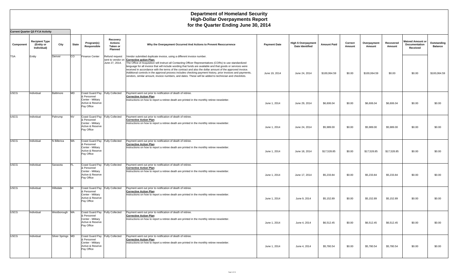|             | <b>Current Quarter Q3 FY14 Activity</b>            |                   |              |                                                                                                       |                                                          |                                                                                                                                                                                                                                                                                                                                                                                                                                                                                                                                                                                                                                                                                      |                     |                                                      |                    |                   |                       |                     |                                                      |                               |
|-------------|----------------------------------------------------|-------------------|--------------|-------------------------------------------------------------------------------------------------------|----------------------------------------------------------|--------------------------------------------------------------------------------------------------------------------------------------------------------------------------------------------------------------------------------------------------------------------------------------------------------------------------------------------------------------------------------------------------------------------------------------------------------------------------------------------------------------------------------------------------------------------------------------------------------------------------------------------------------------------------------------|---------------------|------------------------------------------------------|--------------------|-------------------|-----------------------|---------------------|------------------------------------------------------|-------------------------------|
| Component   | <b>Recipient Type</b><br>(Entity or<br>Individual) | City              | <b>State</b> | Program(s)<br>Responsible                                                                             | Recovery<br><b>Actions</b><br>Taken or<br><b>Planned</b> | Why the Overpayment Occurred And Actions to Prevent Reoccurrence                                                                                                                                                                                                                                                                                                                                                                                                                                                                                                                                                                                                                     | <b>Payment Date</b> | <b>High \$ Overpayment</b><br><b>Date Identified</b> | <b>Amount Paid</b> | Correct<br>Amount | Overpayment<br>Amount | Recovered<br>Amount | <b>Waived Amount or</b><br>Documentation<br>Received | Outstanding<br><b>Balance</b> |
| <b>TSA</b>  | Entity                                             | Denver            | CO           | <b>Finance Center</b>                                                                                 | Refund request<br>June 27, 2014.                         | Vendor submitted duplicate invoice, using a different invoice number.<br>sent to vendor on Corrective action Plan:<br>The Office of Acquisition will instruct all Contacting Officer Representatives (CORs) to use standardized<br>language for all invoice that will include wording that funds are available and that goods or services were<br>received in accordance with the terms of the contract and also the dollar amount of the approved invoice.<br>Additional controls in the approval process includes checking payment history, prior invoices and payments,<br>vendors, similar amount, invoice numbers, and dates. These will be added to technician and checklists. | June 19, 2014       | June 24, 2014                                        | \$100,064.59       | \$0.00            | \$100,064.59          | \$0.00              | \$0.00                                               | \$100,064.59                  |
| <b>USCG</b> | Individual                                         | Baltimore         | <b>MD</b>    | Coast Guard Pay Fully Collected<br>& Personnel<br>Center - Military<br>Active & Reserve<br>Pay Office |                                                          | Payment went out prior to notification of death of retiree.<br><b>Corrective Action Plan:</b><br>Instructions on how to report a retiree death are printed in the monthly retiree newsletter.                                                                                                                                                                                                                                                                                                                                                                                                                                                                                        | June 1, 2014        | June 29, 2014                                        | \$6,606.04         | \$0.00            | \$6,606.04            | \$6,606.04          | \$0.00                                               | \$0.00                        |
| <b>USCG</b> | Individual                                         | Pahrump           | <b>NV</b>    | Coast Guard Pay Fully Collected<br>& Personnel<br>Center - Military<br>Active & Reserve<br>Pay Office |                                                          | Payment went out prior to notification of death of retiree.<br><b>Corrective Action Plan:</b><br>Instructions on how to report a retiree death are printed in the monthly retiree newsletter.                                                                                                                                                                                                                                                                                                                                                                                                                                                                                        | June 1, 2014        | June 24, 2014                                        | \$5,989.00         | \$0.00            | \$5,989.00            | \$5,989.00          | \$0.00                                               | \$0.00                        |
| <b>USCG</b> | Individual                                         | N Billerica       | <b>MA</b>    | Coast Guard Pay Fully Collected<br>& Personnel<br>Center - Military<br>Active & Reserve<br>Pay Office |                                                          | Payment went out prior to notification of death of retiree.<br><b>Corrective Action Plan:</b><br>Instructions on how to report a retiree death are printed in the monthly retiree newsletter.                                                                                                                                                                                                                                                                                                                                                                                                                                                                                        | June 1, 2014        | June 18, 2014                                        | \$17,528.85        | \$0.00            | \$17,528.85           | \$17,528.85         | \$0.00                                               | \$0.00                        |
| <b>USCG</b> | Individual                                         | Sarasota          | IFL          | Coast Guard Pay Fully Collected<br>& Personnel<br>Center - Military<br>Active & Reserve<br>Pay Office |                                                          | Payment went out prior to notification of death of retiree.<br><b>Corrective Action Plan:</b><br>Instructions on how to report a retiree death are printed in the monthly retiree newsletter.                                                                                                                                                                                                                                                                                                                                                                                                                                                                                        | June 1, 2014        | June 17, 2014                                        | \$5,233.84         | \$0.00            | \$5,233.84            | \$5,233.84          | \$0.00                                               | \$0.00                        |
| <b>USCG</b> | Individual                                         | Hillsdale         | MI           | Coast Guard Pay Fully Collected<br>& Personnel<br>Center - Military<br>Active & Reserve<br>Pay Office |                                                          | Payment went out prior to notification of death of retiree.<br><b>Corrective Action Plan:</b><br>Instructions on how to report a retiree death are printed in the monthly retiree newsletter.                                                                                                                                                                                                                                                                                                                                                                                                                                                                                        | June 1, 2014        | June 9, 2014                                         | \$5,152.89         | \$0.00            | \$5,152.89            | \$5,152.89          | \$0.00                                               | \$0.00                        |
| <b>USCG</b> | Individual                                         | Westborough MA    |              | Coast Guard Pay Fully Collected<br>& Personnel<br>Center - Military<br>Active & Reserve<br>Pay Office |                                                          | Payment went out prior to notification of death of retiree.<br><b>Corrective Action Plan:</b><br>Instructions on how to report a retiree death are printed in the monthly retiree newsletter.                                                                                                                                                                                                                                                                                                                                                                                                                                                                                        | June 1, 2014        | June 4, 2014                                         | \$6,512.45         | \$0.00            | \$6,512.45            | \$6,512.45          | \$0.00                                               | \$0.00                        |
| <b>USCG</b> | Individual                                         | Silver Springs MD |              | Coast Guard Pay Fully Collected<br>& Personnel<br>Center - Military<br>Active & Reserve<br>Pay Office |                                                          | Payment went out prior to notification of death of retiree.<br><b>Corrective Action Plan:</b><br>Instructions on how to report a retiree death are printed in the monthly retiree newsletter.                                                                                                                                                                                                                                                                                                                                                                                                                                                                                        | June 1, 2014        | June 4, 2014                                         | \$5,780.54         | \$0.00            | \$5,780.54            | \$5,780.54          | \$0.00                                               | \$0.00                        |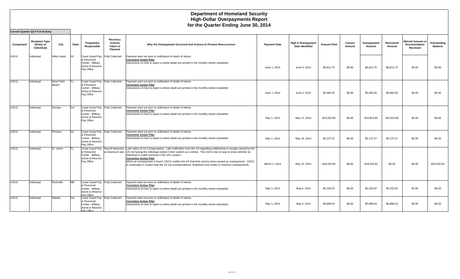|             | <b>Current Quarter Q3 FY14 Activity</b>            |                    |            |                                                                                                       |                                            |                                                                                                                                                                                                                                                                                                                                                                                                                                                                                                                                                                         |                     |                                                      |                    |                   |                       |                     |                                                      |                               |
|-------------|----------------------------------------------------|--------------------|------------|-------------------------------------------------------------------------------------------------------|--------------------------------------------|-------------------------------------------------------------------------------------------------------------------------------------------------------------------------------------------------------------------------------------------------------------------------------------------------------------------------------------------------------------------------------------------------------------------------------------------------------------------------------------------------------------------------------------------------------------------------|---------------------|------------------------------------------------------|--------------------|-------------------|-----------------------|---------------------|------------------------------------------------------|-------------------------------|
| Component   | <b>Recipient Type</b><br>(Entity or<br>Individual) | City               | State      | Program(s)<br>Responsible                                                                             | Recovery<br>Actions<br>Taken or<br>Planned | Why the Overpayment Occurred And Actions to Prevent Reoccurrence                                                                                                                                                                                                                                                                                                                                                                                                                                                                                                        | <b>Payment Date</b> | <b>High \$ Overpayment</b><br><b>Date Identified</b> | <b>Amount Paid</b> | Correct<br>Amount | Overpayment<br>Amount | Recovered<br>Amount | <b>Waived Amount or</b><br>Documentation<br>Received | Outstanding<br><b>Balance</b> |
| <b>USCG</b> | Individual                                         | Hilton Head        | <b>SC</b>  | Coast Guard Pay<br>& Personnel<br>Center - Military<br>Active & Reserve<br>Pay Office                 | <b>Fully Collected</b>                     | Payment went out prior to notification of death of retiree.<br><b>Corrective Action Plan:</b><br>Instructions on how to report a retiree death are printed in the monthly retiree newsletter.                                                                                                                                                                                                                                                                                                                                                                           | June 1, 2014        | June 3, 2014                                         | \$6,812.75         | \$0.00            | \$6,812.75            | \$6,812.75          | \$0.00                                               | \$0.00                        |
| <b>USCG</b> | Individual                                         | West Palm<br>Beach | FL         | Coast Guard Pay Fully Collected<br>& Personnel<br>Center - Military<br>Active & Reserve<br>Pay Office |                                            | Payment went out prior to notification of death of retiree.<br><b>Corrective Action Plan:</b><br>Instructions on how to report a retiree death are printed in the monthly retiree newsletter.                                                                                                                                                                                                                                                                                                                                                                           | June 1, 2014        | June 3, 2014                                         | \$5.065.05         | \$0.00            | \$5,065.05            | \$5,065.05          | \$0.00                                               | \$0.00                        |
| <b>USCG</b> | Individual                                         | Decatur            | <b>GA</b>  | Coast Guard Pay Fully Collected<br>& Personnel<br>Center - Militarv<br>Active & Reserve<br>Pay Office |                                            | Payment went out prior to notification of death of retiree.<br><b>Corrective Action Plan:</b><br>Instructions on how to report a retiree death are printed in the monthly retiree newsletter.                                                                                                                                                                                                                                                                                                                                                                           | May 1, 2014         | May 21, 2014                                         | \$10,923.80        | \$0.00            | \$10.923.80           | \$10,923.80         | \$0.00                                               | \$0.00                        |
| <b>USCG</b> | Individual                                         | Phoenix            | AZ         | Coast Guard Pay Fully Collected<br>& Personnel<br>Center - Military<br>Active & Reserve<br>Pay Office |                                            | Payment went out prior to notification of death of retiree.<br><b>Corrective Action Plan:</b><br>Instructions on how to report a retiree death are printed in the monthly retiree newsletter.                                                                                                                                                                                                                                                                                                                                                                           | May 1, 2014         | May 16, 2014                                         | \$5,137.57         | \$0.00            | \$5,137.57            | \$5,137.57          | \$0.00                                               | \$0.00                        |
| <b>USCG</b> | Individual                                         | St. Johns          | FL         | Coast Guard Pay<br>& Personnel<br>Center - Military<br>Active & Reserve<br>Pay Office                 |                                            | Payroll deduction Late notice of VA Compensation. Late notification from the VA regarding entitlements is usually caused by the<br>at maximum rate VA not having the individual coded in their system as a retiree. The USCG has no way to know whether an<br>individual is coded correctly in the VA's system.<br><b>Corrective Action Plan:</b><br>When an overpayment is found, USCG notifies the VA that their actions have caused an overpayment. USCG<br>is continually in contact with the VA via correspondence, telephone and emails to minimize overpayments. | March 1, 2014       | May 15, 2014                                         | \$18,420.83        | \$0.00            | \$18,420.83           | \$0.00              | \$0.00                                               | \$18,420.83                   |
| <b>USCG</b> | Individual                                         | Rockville          | ME         | Coast Guard Pay Fully Collected<br>& Personnel<br>Center - Military<br>Active & Reserve<br>Pav Office |                                            | Payment went out prior to notification of death of retiree.<br><b>Corrective Action Plan:</b><br>Instructions on how to report a retiree death are printed in the monthly retiree newsletter.                                                                                                                                                                                                                                                                                                                                                                           | May 1, 2014         | May 6, 2014                                          | \$5,333.92         | \$0.00            | \$5,333.92            | \$5,333.92          | \$0.00                                               | \$0.00                        |
| <b>USCG</b> | Individual                                         | Atlanta            | <b>IGA</b> | Coast Guard Pay Fully Collected<br>& Personnel<br>Center - Military<br>Active & Reserve<br>Pay Office |                                            | Payment went out prior to notification of death of retiree.<br><b>Corrective Action Plan:</b><br>Instructions on how to report a retiree death are printed in the monthly retiree newsletter.                                                                                                                                                                                                                                                                                                                                                                           | May 1, 2014         | May 5, 2014                                          | \$5,888.03         | \$0.00            | \$5,888.03            | \$5,888.03          | \$0.00                                               | \$0.00                        |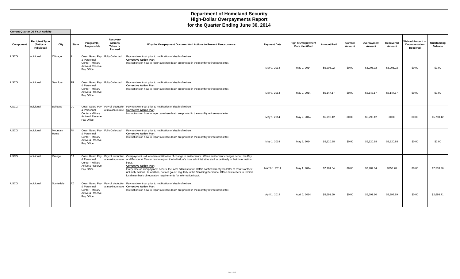|             | <b>Current Quarter Q3 FY14 Activity</b>            |                  |              |                                                                                                       |                                                          |                                                                                                                                                                                                                                                                                                                                                                                                                                                                                                                                                                                                                                |                     |                                                      |                    |                   |                       |                     |                                                      |                               |
|-------------|----------------------------------------------------|------------------|--------------|-------------------------------------------------------------------------------------------------------|----------------------------------------------------------|--------------------------------------------------------------------------------------------------------------------------------------------------------------------------------------------------------------------------------------------------------------------------------------------------------------------------------------------------------------------------------------------------------------------------------------------------------------------------------------------------------------------------------------------------------------------------------------------------------------------------------|---------------------|------------------------------------------------------|--------------------|-------------------|-----------------------|---------------------|------------------------------------------------------|-------------------------------|
| Component   | <b>Recipient Type</b><br>(Entity or<br>Individual) | City             | <b>State</b> | Program(s)<br>Responsible                                                                             | Recovery<br><b>Actions</b><br>Taken or<br><b>Planned</b> | Why the Overpayment Occurred And Actions to Prevent Reoccurrence                                                                                                                                                                                                                                                                                                                                                                                                                                                                                                                                                               | <b>Payment Date</b> | <b>High \$ Overpayment</b><br><b>Date Identified</b> | <b>Amount Paid</b> | Correct<br>Amount | Overpayment<br>Amount | Recovered<br>Amount | <b>Waived Amount or</b><br>Documentation<br>Received | Outstanding<br><b>Balance</b> |
| <b>USCG</b> | Individual                                         | Chicago          |              | Coast Guard Pay Fully Collected<br>& Personnel<br>Center - Militarv<br>Active & Reserve<br>Pay Office |                                                          | Payment went out prior to notification of death of retiree.<br><b>Corrective Action Plan:</b><br>Instructions on how to report a retiree death are printed in the monthly retiree newsletter.                                                                                                                                                                                                                                                                                                                                                                                                                                  | May 1, 2014         | May 2, 2014                                          | \$5,206.02         | \$0.00            | \$5,206.02            | \$5,206.02          | \$0.00                                               | \$0.00                        |
| <b>USCG</b> | Individual                                         | San Juan         | <b>PR</b>    | Coast Guard Pay Fully Collected<br>& Personnel<br>Center - Militarv<br>Active & Reserve<br>Pay Office |                                                          | Payment went out prior to notification of death of retiree.<br><b>Corrective Action Plan:</b><br>Instructions on how to report a retiree death are printed in the monthly retiree newsletter.                                                                                                                                                                                                                                                                                                                                                                                                                                  | May 1, 2014         | May 2, 2014                                          | \$5,147.17         | \$0.00            | \$5,147.17            | \$5,147.17          | \$0.00                                               | \$0.00                        |
| <b>USCG</b> | Individual                                         | Bellevue         | DC.          | & Personnel<br>Center - Military<br>Active & Reserve<br>Pay Office                                    |                                                          | Coast Guard Pay Payroll deduction Payment went out prior to notification of death of retiree.<br>at maximum rate Corrective Action Plan:<br>Instructions on how to report a retiree death are printed in the monthly retiree newsletter.                                                                                                                                                                                                                                                                                                                                                                                       | May 1, 2014         | May 2, 2014                                          | \$5,798.12         | \$0.00            | \$5,798.12            | \$0.00              | \$0.00                                               | \$5,798.12                    |
| <b>USCG</b> | Individual                                         | Mountain<br>Home | <b>AK</b>    | Coast Guard Pay Fully Collected<br>& Personnel<br>Center - Military<br>Active & Reserve<br>Pay Office |                                                          | Payment went out prior to notification of death of retiree.<br><b>Corrective Action Plan:</b><br>Instructions on how to report a retiree death are printed in the monthly retiree newsletter.                                                                                                                                                                                                                                                                                                                                                                                                                                  | May 1, 2014         | May 2, 2014                                          | \$9,920.88         | \$0.00            | \$9,920.88            | \$9,920.88          | \$0.00                                               | \$0.00                        |
| <b>USCG</b> | Individual                                         | Orange           | <b>CA</b>    | & Personnel<br>Center - Military<br>Active & Reserve<br>Pay Office                                    | at maximum rate                                          | Coast Guard Pay  Payroll deduction  Overpayment is due to late notification of change in entitlements. When entitlement changes occur, the Pay<br>and Personnel Center has to rely on the individual's local administrative staff to be timely in their information<br>input.<br><b>Corrective Action Plan:</b><br>Every time an overpayment occurs, the local administrative staff is notified directly via letter of results of their<br>untimely actions. In addition, notices go out regularly in the Servicing Personnel Office newsletters to remind<br>local member's of requlation requirements for information input. | March 1, 2014       | May 1, 2014                                          | \$7,784.04         | \$0.00            | \$7,784.04            | \$250.78            | \$0.00                                               | \$7,533.26                    |
| <b>USCG</b> | Individual                                         | Scottsdale       | AZ           | & Personnel<br>Center - Militarv<br>Active & Reserve<br>Pay Office                                    | Coast Guard Pay Payroll deduction<br>at maximum rate     | Payment went out prior to notification of death of retiree.<br><b>Corrective Action Plan:</b><br>Instructions on how to report a retiree death are printed in the monthly retiree newsletter.                                                                                                                                                                                                                                                                                                                                                                                                                                  | April 1, 2014       | April 7, 2014                                        | \$5,691.60         | \$0.00            | \$5,691.60            | \$2,992.89          | \$0.00                                               | \$2,698.71                    |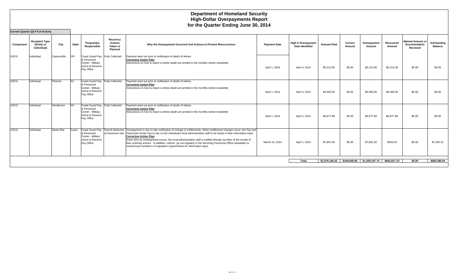|             | <b>Current Quarter Q3 FY14 Activity</b>            |             |              |                                                                                                       |                                                          |                                                                                                                                                                                                                                                                                                                                                                                                                                                                                                                                                                                                                                              |                     |                                                      |                    |                   |                                                             |                     |                                                             |                               |
|-------------|----------------------------------------------------|-------------|--------------|-------------------------------------------------------------------------------------------------------|----------------------------------------------------------|----------------------------------------------------------------------------------------------------------------------------------------------------------------------------------------------------------------------------------------------------------------------------------------------------------------------------------------------------------------------------------------------------------------------------------------------------------------------------------------------------------------------------------------------------------------------------------------------------------------------------------------------|---------------------|------------------------------------------------------|--------------------|-------------------|-------------------------------------------------------------|---------------------|-------------------------------------------------------------|-------------------------------|
| Component   | <b>Recipient Type</b><br>(Entity or<br>Individual) | City        | <b>State</b> | Program(s)<br>Responsible                                                                             | Recovery<br><b>Actions</b><br>Taken or<br><b>Planned</b> | Why the Overpayment Occurred And Actions to Prevent Reoccurrence                                                                                                                                                                                                                                                                                                                                                                                                                                                                                                                                                                             | <b>Payment Date</b> | <b>High \$ Overpayment</b><br><b>Date Identified</b> | <b>Amount Paid</b> | Correct<br>Amount | Overpayment<br>Amount                                       | Recovered<br>Amount | <b>Waived Amount or</b><br><b>Documentation</b><br>Received | Outstanding<br><b>Balance</b> |
| <b>USCG</b> | Individual                                         | Canyonville | OR           | Coast Guard Pay Fully Collected<br>& Personnel<br>Center - Military<br>Active & Reserve<br>Pay Office |                                                          | Payment went out prior to notification of death of retiree.<br><b>Corrective Action Plan:</b><br>Instructions on how to report a retiree death are printed in the monthly retiree newsletter.                                                                                                                                                                                                                                                                                                                                                                                                                                                | April 1, 2014       | April 4, 2014                                        | \$5,213.36         | \$0.00            | \$5,213.36                                                  | \$5,213.36          | \$0.00                                                      | \$0.00                        |
| <b>USCG</b> | Individual                                         | Phoenix     | <b>AZ</b>    | Coast Guard Pay Fully Collected<br>& Personnel<br>Center - Militarv<br>Active & Reserve<br>Pay Office |                                                          | Payment went out prior to notification of death of retiree.<br><b>Corrective Action Plan:</b><br>Instructions on how to report a retiree death are printed in the monthly retiree newsletter.                                                                                                                                                                                                                                                                                                                                                                                                                                                | April 1, 2014       | April 3, 2014                                        | \$5,005.00         | \$0.00            | \$5,005.00                                                  | \$5,005.00          | \$0.00                                                      | \$0.00                        |
| <b>USCG</b> | Individual                                         | Henderson   | <b>INV</b>   | Coast Guard Pay Fully Collected<br>& Personnel<br>Center - Military<br>Active & Reserve<br>Pay Office |                                                          | Payment went out prior to notification of death of retiree.<br><b>Corrective Action Plan:</b><br>Instructions on how to report a retiree death are printed in the monthly retiree newsletter.                                                                                                                                                                                                                                                                                                                                                                                                                                                | April 1, 2014       | April 2, 2014                                        | \$6,977.89         | \$0.00            | \$6,977.89                                                  | \$6,977.89          | \$0.00                                                      | \$0.00                        |
| <b>USCG</b> | Individual                                         | Santa Rita  | Guam         | & Personnel<br>Center - Military<br>Active & Reserve<br>Pay Office                                    |                                                          | Coast Guard Pay Payroll deduction Overpayment is due to late notification of change in entitlements. When entitlement changes occur, the Pay and<br>at maximum rate Personnel Center has to rely on the individual's local administrative staff to be timely in their information input.<br><b>Corrective Action Plan:</b><br>Every time an overpayment occurs, the local administrative staff is notified directly via letter of the results of<br>their untimely actions. In addition, notices go out regularly in the Servicing Personnel Office newsletter to<br>remind local member's of requlation requirements for information input. | March 14, 2014      | April 1, 2014                                        | \$7,801.55         | \$0.00            | \$7,801.55                                                  | \$549.34            | \$0.00                                                      | \$7,252.21                    |
|             |                                                    |             |              |                                                                                                       |                                                          |                                                                                                                                                                                                                                                                                                                                                                                                                                                                                                                                                                                                                                              |                     | Total                                                |                    |                   | $$1,670,146.42$ $$240,948.68$ $$1,429,197.74$ $$843,817.10$ |                     | \$0.00                                                      | \$585.380.64                  |
|             |                                                    |             |              |                                                                                                       |                                                          |                                                                                                                                                                                                                                                                                                                                                                                                                                                                                                                                                                                                                                              |                     |                                                      |                    |                   |                                                             |                     |                                                             |                               |
|             |                                                    |             |              |                                                                                                       |                                                          |                                                                                                                                                                                                                                                                                                                                                                                                                                                                                                                                                                                                                                              |                     |                                                      |                    |                   |                                                             |                     |                                                             |                               |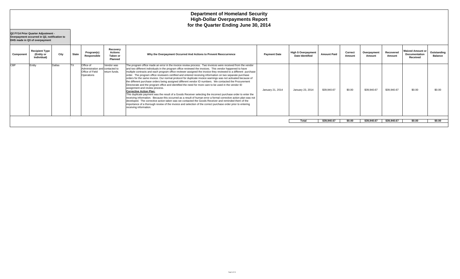|            | Q2 FY14 Prior Quarter Adjustment -<br>Overpayment occurred in Q2, notification to<br>DHS made in Q3 of overpayment |        |              |                                                                               |                                                   |                                                                                                                                                                                                                                                                                                                                                                                                                                                                                                                                                                                                                                                                                                                                                                                                                                                                                                                                                                                                                                                                                                                                                                                                                                                                                                                                                |                     |                                                      |                    |                   |                       |                     |                                                      |                        |
|------------|--------------------------------------------------------------------------------------------------------------------|--------|--------------|-------------------------------------------------------------------------------|---------------------------------------------------|------------------------------------------------------------------------------------------------------------------------------------------------------------------------------------------------------------------------------------------------------------------------------------------------------------------------------------------------------------------------------------------------------------------------------------------------------------------------------------------------------------------------------------------------------------------------------------------------------------------------------------------------------------------------------------------------------------------------------------------------------------------------------------------------------------------------------------------------------------------------------------------------------------------------------------------------------------------------------------------------------------------------------------------------------------------------------------------------------------------------------------------------------------------------------------------------------------------------------------------------------------------------------------------------------------------------------------------------|---------------------|------------------------------------------------------|--------------------|-------------------|-----------------------|---------------------|------------------------------------------------------|------------------------|
| Component  | <b>Recipient Type</b><br>(Entity or<br>Individual)                                                                 | City   | <b>State</b> | Program(s)<br>Responsible                                                     | Recovery<br><b>Actions</b><br>Taken or<br>Planned | Why the Overpayment Occurred And Actions to Prevent Reoccurrence                                                                                                                                                                                                                                                                                                                                                                                                                                                                                                                                                                                                                                                                                                                                                                                                                                                                                                                                                                                                                                                                                                                                                                                                                                                                               | <b>Payment Date</b> | <b>High \$ Overpayment</b><br><b>Date Identified</b> | <b>Amount Paid</b> | Correct<br>Amount | Overpayment<br>Amount | Recovered<br>Amount | <b>Waived Amount or</b><br>Documentation<br>Received | Outstanding<br>Balance |
| <b>CBP</b> | Entity                                                                                                             | Dallas |              | Office of<br>Administration and contacted to<br>Office of Field<br>Operations | Vendor was<br>return funds.                       | The program office made an error in the invoice review process. Two invoices were received from the vendor<br>and two different individuals in the program office reviewed the invoices. This vendor happened to have<br>multiple contracts and each program office reviewer assigned the invoice they reviewed to a different purchase<br>order. The program office reviewers certified and entered receiving information on two separate purchase<br>orders for the same invoice. Our normal protocol for duplicate invoice warnings was not activated because of<br>the different purchase orders being assigned different vendor ID numbers. We contacted the Procurement<br>Directorate and the program office and identified the need for more care to be used in the vendor ID<br>assignment and review process.<br><b>Corrective Action Plan:</b><br>This duplicate payment was the result of a Goods Receiver selecting the incorrect purchase order to enter the<br>receiving information. Because this occurred as a result of human error a formal corrective action plan was not<br>developed. The corrective action taken was we contacted the Goods Receiver and reminded them of the<br>importance of a thorough review of the invoice and selection of the correct purchase order prior to entering<br>receiving information. | January 21, 2014    | January 23, 2014                                     | \$39,940.67        | \$0.00            | \$39,940.67           | \$39,940.67         | \$0.00                                               | \$0.00                 |
|            |                                                                                                                    |        |              |                                                                               |                                                   |                                                                                                                                                                                                                                                                                                                                                                                                                                                                                                                                                                                                                                                                                                                                                                                                                                                                                                                                                                                                                                                                                                                                                                                                                                                                                                                                                |                     | Total                                                | \$39,940.67        | \$0.00            | \$39,940.67           | \$39,940.67         | \$0.00                                               | \$0.00                 |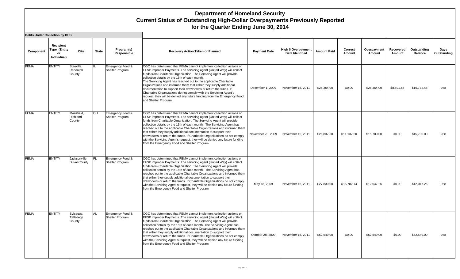| Component   | Recipient<br>Type (Entity<br>or<br>Individual) | City                             | <b>State</b> | Program(s)<br>Responsible           | <b>Recovery Action Taken or Planned</b>                                                                                                                                                                                                                                                                                                                                                                                                                                                                                                                                                                                                                     | <b>Payment Date</b> | <b>High \$ Overpayment</b><br><b>Date Identified</b> | <b>Amount Paid</b> | Correct<br>Amount | Overpayment<br>Amount | Recovered<br>Amount | Outstanding<br><b>Balance</b> | Days<br>Outstanding |
|-------------|------------------------------------------------|----------------------------------|--------------|-------------------------------------|-------------------------------------------------------------------------------------------------------------------------------------------------------------------------------------------------------------------------------------------------------------------------------------------------------------------------------------------------------------------------------------------------------------------------------------------------------------------------------------------------------------------------------------------------------------------------------------------------------------------------------------------------------------|---------------------|------------------------------------------------------|--------------------|-------------------|-----------------------|---------------------|-------------------------------|---------------------|
| <b>FEMA</b> | <b>ENTITY</b>                                  | Steeville.<br>Randolph<br>County |              | Emergency Food &<br>Shelter Program | OGC has determined that FEMA cannot implement collection actions on<br>EFSP improper Payments. The servicing agent (United Way) will collect<br>funds from Charitable Organization. The Servicing Agent will provide<br>collection details by the 15th of each month.<br>The Servicing Agent has reached out to the applicable Charitable<br>Organizations and informed them that either they supply additional<br>documentation to support their drawdowns or return the funds. If<br>Charitable Organizations do not comply with the Servicing Agent's<br>request, they will be denied any future funding from the Emergency Food<br>and Shelter Program. | December 1, 2009    | November 15, 2011                                    | \$25,364.00        | \$0.00            | \$25,364.00           | \$8,591.55          | \$16,772.45                   | 958                 |
| <b>FEMA</b> | <b>ENTITY</b>                                  | Mansfield.<br>Richland<br>County | <b>OH</b>    | Emergency Food &<br>Shelter Program | OGC has determined that FEMA cannot implement collection actions on<br>EFSP improper Payments. The servicing agent (United Way) will collect<br>funds from Charitable Organization. The Servicing Agent will provide<br>collection details by the 15th of each month. The Servicing Agent has<br>reached out to the applicable Charitable Organizations and informed them<br>that either they supply additional documentation to support their<br>drawdowns or return the funds. If Charitable Organizations do not comply<br>with the Servicing Agent's request, they will be denied any future funding<br>from the Emergency Food and Shelter Program     | November 23, 2009   | November 15, 2011                                    | \$26,837.50        | \$11,137.50       | \$15,700.00           | \$0.00              | \$15,700.00                   | 958                 |
| <b>FEMA</b> | <b>ENTITY</b>                                  | Jacksonville,<br>Duval County    | FL.          | Emergency Food &<br>Shelter Program | OGC has determined that FEMA cannot implement collection actions on<br>EFSP improper Payments. The servicing agent (United Way) will collect<br>funds from Charitable Organization. The Servicing Agent will provide<br>collection details by the 15th of each month. The Servicing Agent has<br>reached out to the applicable Charitable Organizations and informed them<br>that either they supply additional documentation to support their<br>drawdowns or return the funds. If Charitable Organizations do not comply<br>with the Servicing Agent's request, they will be denied any future funding<br>from the Emergency Food and Shelter Program     | May 18, 2009        | November 15, 2011                                    | \$27,830.00        | \$15,782.74       | \$12,047.26           | \$0.00              | \$12,047.26                   | 958                 |
| <b>FEMA</b> | <b>ENTITY</b>                                  | Sylcauga,<br>Talladega<br>County | AL           | Emergency Food &<br>Shelter Program | OGC has determined that FEMA cannot implement collection actions on<br>EFSP improper Payments. The servicing agent (United Way) will collect<br>funds from Charitable Organization. The Servicing Agent will provide<br>collection details by the 15th of each month. The Servicing Agent has<br>reached out to the applicable Charitable Organizations and informed them<br>that either they supply additional documentation to support their<br>drawdowns or return the funds. If Charitable Organizations do not comply<br>with the Servicing Agent's request, they will be denied any future funding<br>from the Emergency Food and Shelter Program     | October 28, 2009    | November 15, 2011                                    | \$52,549.00        | \$0.00            | \$52,549.00           | \$0.00              | \$52,549.00                   | 958                 |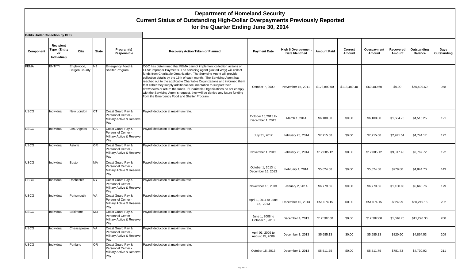| Component   | Recipient<br>Type (Entity<br>or<br>Individual) | City                        | <b>State</b> | Program(s)<br>Responsible                                                   | <b>Recovery Action Taken or Planned</b>                                                                                                                                                                                                                                                                                                                                                                                                                                                                                                                                                                                                                 | <b>Payment Date</b>                     | <b>High \$ Overpayment</b><br><b>Date Identified</b> | <b>Amount Paid</b> | Correct<br>Amount | Overpayment<br>Amount | Recovered<br>Amount | Outstanding<br><b>Balance</b> | Days<br>Outstanding |
|-------------|------------------------------------------------|-----------------------------|--------------|-----------------------------------------------------------------------------|---------------------------------------------------------------------------------------------------------------------------------------------------------------------------------------------------------------------------------------------------------------------------------------------------------------------------------------------------------------------------------------------------------------------------------------------------------------------------------------------------------------------------------------------------------------------------------------------------------------------------------------------------------|-----------------------------------------|------------------------------------------------------|--------------------|-------------------|-----------------------|---------------------|-------------------------------|---------------------|
| <b>FEMA</b> | <b>ENTITY</b>                                  | Englewood,<br>Bergen County | <b>NJ</b>    | Emergency Food &<br>Shelter Program                                         | OGC has determined that FEMA cannot implement collection actions on<br>EFSP improper Payments. The servicing agent (United Way) will collect<br>funds from Charitable Organization. The Servicing Agent will provide<br>collection details by the 15th of each month. The Servicing Agent has<br>reached out to the applicable Charitable Organizations and informed them<br>that either they supply additional documentation to support their<br>drawdowns or return the funds. If Charitable Organizations do not comply<br>with the Servicing Agent's request, they will be denied any future funding<br>from the Emergency Food and Shelter Program | October 7, 2009                         | November 15, 2011                                    | \$178,890.00       | \$118,489.40      | \$60,400.60           | \$0.00              | \$60,400.60                   | 958                 |
| <b>USCG</b> | Individual                                     | New London                  | <b>CT</b>    | Coast Guard Pay &<br>Personnel Center -<br>Military Active & Reserve<br>Pay | Payroll deduction at maximum rate.                                                                                                                                                                                                                                                                                                                                                                                                                                                                                                                                                                                                                      | October 15,2013 to<br>December 1, 2013  | March 1, 2014                                        | \$6,100.00         | \$0.00            | \$6,100.00            | \$1,584.75          | \$4,515.25                    | 121                 |
| <b>USCG</b> | Individual                                     | Los Angeles                 | <b>CA</b>    | Coast Guard Pay &<br>Personnel Center -<br>Military Active & Reserve<br>Pay | Payroll deduction at maximum rate.                                                                                                                                                                                                                                                                                                                                                                                                                                                                                                                                                                                                                      | July 31, 2012                           | February 28, 2014                                    | \$7,715.68         | \$0.00            | \$7,715.68            | \$2,971.51          | \$4,744.17                    | 122                 |
| <b>USCG</b> | Individual                                     | Astoria                     | <b>OR</b>    | Coast Guard Pay &<br>Personnel Center -<br>Military Active & Reserve<br>Pay | Payroll deduction at maximum rate.                                                                                                                                                                                                                                                                                                                                                                                                                                                                                                                                                                                                                      | November 1, 2012                        | February 28, 2014                                    | \$12,085.12        | \$0.00            | \$12,085.12           | \$9,317.40          | \$2,767.72                    | 122                 |
| <b>USCG</b> | Individual                                     | Boston                      | <b>MA</b>    | Coast Guard Pay &<br>Personnel Center -<br>Military Active & Reserve<br>Pay | Payroll deduction at maximum rate.                                                                                                                                                                                                                                                                                                                                                                                                                                                                                                                                                                                                                      | October 1, 2013 to<br>December 15, 2013 | February 1, 2014                                     | \$5.624.58         | \$0.00            | \$5.624.58            | \$779.88            | \$4,844.70                    | 149                 |
| <b>USCG</b> | Individual                                     | Rochester                   | <b>NY</b>    | Coast Guard Pay &<br>Personnel Center -<br>Military Active & Reserve<br>Pay | Payroll deduction at maximum rate.                                                                                                                                                                                                                                                                                                                                                                                                                                                                                                                                                                                                                      | November 15, 2013                       | January 2, 2014                                      | \$6,779.56         | \$0.00            | \$6,779.56            | \$1,130.80          | \$5,648.76                    | 179                 |
| <b>USCG</b> | Individual                                     | Portsmouth                  | <b>VA</b>    | Coast Guard Pay &<br>Personnel Center -<br>Military Active & Reserve<br>Pay | Payroll deduction at maximum rate.                                                                                                                                                                                                                                                                                                                                                                                                                                                                                                                                                                                                                      | April 1, 2011 to June<br>15, 2013       | December 10, 2013                                    | \$51,074.15        | \$0.00            | \$51,074.15           | \$824.99            | \$50,249.16                   | 202                 |
| <b>USCG</b> | Individual                                     | <b>Baltimore</b>            | <b>MD</b>    | Coast Guard Pay &<br>Personnel Center -<br>Military Active & Reserve<br>Pay | Payroll deduction at maximum rate.                                                                                                                                                                                                                                                                                                                                                                                                                                                                                                                                                                                                                      | June 1, 2008 to<br>October 1, 2013      | December 4, 2013                                     | \$12,307.00        | \$0.00            | \$12,307.00           | \$1,016.70          | \$11,290.30                   | 208                 |
| <b>USCG</b> | Individual                                     | Cheasapeake VA              |              | Coast Guard Pay &<br>Personnel Center -<br>Military Active & Reserve<br>Pay | Payroll deduction at maximum rate.                                                                                                                                                                                                                                                                                                                                                                                                                                                                                                                                                                                                                      | April 01, 2009 to<br>August 15, 2009    | December 3, 2013                                     | \$5,685.13         | \$0.00            | \$5,685.13            | \$820.60            | \$4,864.53                    | 209                 |
| <b>USCG</b> | Individual                                     | Portland                    | <b>OR</b>    | Coast Guard Pay &<br>Personnel Center -<br>Military Active & Reserve<br>Pay | Payroll deduction at maximum rate.                                                                                                                                                                                                                                                                                                                                                                                                                                                                                                                                                                                                                      | October 15, 2013                        | December 1, 2013                                     | \$5.511.75         | \$0.00            | \$5.511.75            | \$781.73            | \$4,730.02                    | 211                 |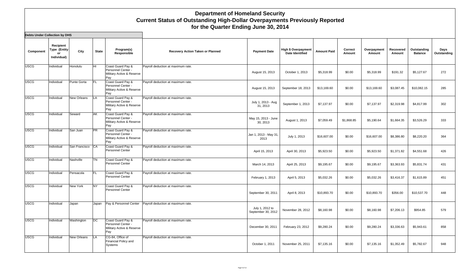| Component   | Recipient<br>Type (Entity<br>or<br>Individual) | City               | <b>State</b> | Program(s)<br>Responsible                                                   | Recovery Action Taken or Planned   | <b>Payment Date</b>                   | <b>High \$ Overpayment</b><br><b>Date Identified</b> | <b>Amount Paid</b> | Correct<br>Amount | Overpayment<br>Amount | Recovered<br>Amount | Outstanding<br><b>Balance</b> | Days<br>Outstanding |
|-------------|------------------------------------------------|--------------------|--------------|-----------------------------------------------------------------------------|------------------------------------|---------------------------------------|------------------------------------------------------|--------------------|-------------------|-----------------------|---------------------|-------------------------------|---------------------|
| <b>USCG</b> | Individual                                     | Honolulu           | lнı          | Coast Guard Pay &<br>Personnel Center -<br>Military Active & Reserve<br>Pay | Payroll deduction at maximum rate. | August 15, 2013                       | October 1, 2013                                      | \$5,318.99         | \$0.00            | \$5,318.99            | \$191.32            | \$5,127.67                    | 272                 |
| <b>USCG</b> | Individual                                     | Punte Gorta        | <b>FL</b>    | Coast Guard Pay &<br>Personnel Center -<br>Military Active & Reserve<br>Pay | Payroll deduction at maximum rate. | August 15, 2013                       | September 18, 2013                                   | \$13,169.60        | \$0.00            | \$13,169.60           | \$3,087.45          | \$10,082.15                   | 285                 |
| <b>USCG</b> | Individual                                     | New Orleans        | LA           | Coast Guard Pay &<br>Personnel Center -<br>Military Active & Reserve<br>Pay | Payroll deduction at maximum rate. | July 1, 2013 - Aug<br>31, 2013        | September 1, 2013                                    | \$7,137.97         | \$0.00            | \$7,137.97            | \$2,319.98          | \$4,817.99                    | 302                 |
| <b>USCG</b> | Individual                                     | Seward             | AK           | Coast Guard Pay &<br>Personnel Center -<br>Military Active & Reserve<br>Pay | Payroll deduction at maximum rate. | May 15, 2013 - June<br>30, 2013       | August 1, 2013                                       | \$7,059.49         | \$1,868.85        | \$5,190.64            | \$1,664.35          | \$3,526.29                    | 333                 |
| <b>USCG</b> | Individual                                     | San Juan           | <b>PR</b>    | Coast Guard Pay &<br>Personnel Center -<br>Military Active & Reserve<br>Pay | Payroll deduction at maximum rate. | Jan 1, 2013 - May 31,<br>2013         | July 1, 2013                                         | \$16,607.00        | \$0.00            | \$16,607.00           | \$8,386.80          | \$8,220.20                    | 364                 |
| <b>USCG</b> | Individual                                     | San Francisco      | <b>CA</b>    | Coast Guard Pay &<br>Personnel Center                                       | Payroll deduction at maximum rate. | April 15, 2013                        | April 30, 2013                                       | \$5,923.50         | \$0.00            | \$5,923.50            | \$1,371.82          | \$4,551.68                    | 426                 |
| <b>USCG</b> | Individual                                     | Nashville          | <b>TN</b>    | Coast Guard Pay &<br>Personnel Center                                       | Payroll deduction at maximum rate. | March 14, 2013                        | April 25, 2013                                       | \$9,195.67         | \$0.00            | \$9,195.67            | \$3,363.93          | \$5,831.74                    | 431                 |
| <b>USCG</b> | Individual                                     | Pensacola          | <b>FL</b>    | Coast Guard Pay &<br><b>Personnel Center</b>                                | Payroll deduction at maximum rate. | February 1, 2013                      | April 5, 2013                                        | \$5,032.26         | \$0.00            | \$5,032.26            | \$3,416.37          | \$1,615.89                    | 451                 |
| <b>USCG</b> | Individual                                     | New York           | <b>NY</b>    | Coast Guard Pay &<br><b>Personnel Center</b>                                | Payroll deduction at maximum rate. | September 30, 2011                    | April 8, 2013                                        | \$10,893.70        | \$0.00            | \$10,893.70           | \$356.00            | \$10,537.70                   | 448                 |
| <b>USCG</b> | Individual                                     | Japan              | Japan        | Pay & Personnel Center                                                      | Payroll deduction at maximum rate. | July 1, 2012 to<br>September 30, 2012 | November 28, 2012                                    | \$8,160.98         | \$0.00            | \$8,160.98            | \$7,206.13          | \$954.85                      | 579                 |
| <b>USCG</b> | Individual                                     | Washington         | DC           | Coast Guard Pay &<br>Personnel Center -<br>Military Active & Reserve<br>Pay | Payroll deduction at maximum rate. | December 30, 2011                     | February 23, 2012                                    | \$9,280.24         | \$0.00            | \$9,280.24            | \$3,336.63          | \$5,943.61                    | 858                 |
| <b>USCG</b> | Individual                                     | <b>New Orleans</b> | <b>LA</b>    | CG-84, Office of<br>Financial Policy and<br>Systems                         | Payroll deduction at maximum rate. | October 1, 2011                       | November 25, 2011                                    | \$7,135.16         | \$0.00            | \$7,135.16            | \$1,352.49          | \$5,782.67                    | 948                 |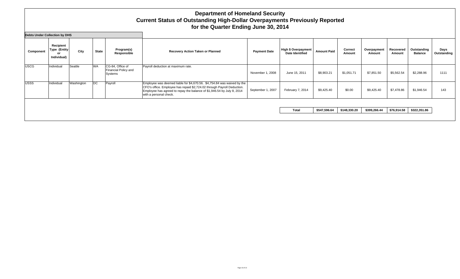| Recovery Action Taken or Planned<br><b>Payment Date</b>                                                                                                                                                                                           | <b>High \$ Overpayment</b><br><b>Date Identified</b> | <b>Amount Paid</b> | Correct    |                                              |                     |                               |                     |
|---------------------------------------------------------------------------------------------------------------------------------------------------------------------------------------------------------------------------------------------------|------------------------------------------------------|--------------------|------------|----------------------------------------------|---------------------|-------------------------------|---------------------|
|                                                                                                                                                                                                                                                   |                                                      |                    | Amount     | Overpayment<br>Amount                        | Recovered<br>Amount | Outstanding<br><b>Balance</b> | Days<br>Outstanding |
| Payroll deduction at maximum rate.<br>November 1, 2008                                                                                                                                                                                            | June 15, 2011                                        | \$8,903.21         | \$1,051.71 | \$7,851.50                                   | \$5,562.54          | \$2,288.96                    | 1111                |
| Employee was deemed liable for \$4,670.56. \$4,754.84 was waived by the<br>CFO's office. Employee has repaid \$2,724.02 through Payroll Deduction.<br>September 1, 2007<br>Employee has agreed to repay the balance of \$1,946.54 by July 8, 2014 | February 7, 2014                                     | \$9,425.40         | \$0.00     | \$9,425.40                                   | \$7,478.86          | \$1,946.54                    | 143                 |
|                                                                                                                                                                                                                                                   |                                                      |                    |            |                                              |                     |                               |                     |
|                                                                                                                                                                                                                                                   |                                                      |                    |            | \$547,596.64<br>\$148,330.20<br><b>Total</b> | \$399,266.44        | \$76,914.58                   | \$322,351.86        |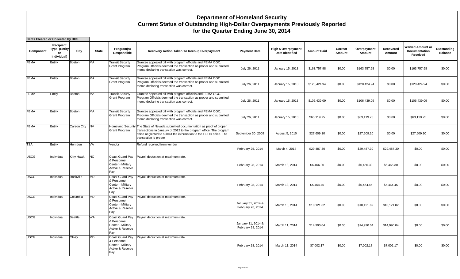| Debts Cleared or Collected by DHS |                                                |                |              |                                                                                |                                                                                                                                                                                                                                                        |                                         |                                        |                    |                   |                       |                     |                                               |                               |
|-----------------------------------|------------------------------------------------|----------------|--------------|--------------------------------------------------------------------------------|--------------------------------------------------------------------------------------------------------------------------------------------------------------------------------------------------------------------------------------------------------|-----------------------------------------|----------------------------------------|--------------------|-------------------|-----------------------|---------------------|-----------------------------------------------|-------------------------------|
| Component                         | Recipient<br>Type (Entity<br>or<br>Individual) | City           | <b>State</b> | Program(s)<br>Responsible                                                      | Recovery Action Taken To Recoup Overpayment                                                                                                                                                                                                            | <b>Payment Date</b>                     | High \$ Overpayment<br>Date Identified | <b>Amount Paid</b> | Correct<br>Amount | Overpayment<br>Amount | Recovered<br>Amount | Waived Amount or<br>Documentation<br>Received | Outstanding<br><b>Balance</b> |
| <b>FEMA</b>                       | Entity                                         | <b>Boston</b>  | <b>MA</b>    | <b>Transit Securty</b><br><b>Grant Program</b>                                 | Grantee appealed bill with program officials and FEMA OGC.<br>Program Officials deemed the transaction as proper and submitted<br>memo declaring transaction was correct.                                                                              | July 26, 2011                           | January 15, 2013                       | \$163,757.98       | \$0.00            | \$163,757.98          | \$0.00              | \$163,757.98                                  | \$0.00                        |
| <b>FEMA</b>                       | Entity                                         | <b>Boston</b>  | <b>MA</b>    | <b>Transit Securty</b><br><b>Grant Program</b>                                 | Grantee appealed bill with program officials and FEMA OGC.<br>Program Officials deemed the transaction as proper and submitted<br>memo declaring transaction was correct.                                                                              | July 26, 2011                           | January 15, 2013                       | \$120,424.94       | \$0.00            | \$120,424.94          | \$0.00              | \$120,424.94                                  | \$0.00                        |
| <b>FEMA</b>                       | Entity                                         | <b>Boston</b>  | MA           | <b>Transit Securty</b><br><b>Grant Program</b>                                 | Grantee appealed bill with program officials and FEMA OGC.<br>Program Officials deemed the transaction as proper and submitted<br>memo declaring transaction was correct.                                                                              | July 26, 2011                           | January 15, 2013                       | \$106,439.09       | \$0.00            | \$106,439.09          | \$0.00              | \$106,439.09                                  | \$0.00                        |
| <b>FEMA</b>                       | Entity                                         | <b>Boston</b>  | <b>MA</b>    | <b>Transit Securty</b><br>Grant Program                                        | Grantee appealed bill with program officials and FEMA OGC.<br>Program Officials deemed the transaction as proper and submitted<br>memo declaring transaction was correct.                                                                              | July 26, 2011                           | January 15, 2013                       | \$63,119.75        | \$0.00            | \$63,119.75           | \$0.00              | \$63,119.75                                   | \$0.00                        |
| <b>FEMA</b>                       | Entity                                         | Carson City NV |              | <b>Grant Program</b>                                                           | Homeland Security The State of Nevada submitted documentation as proof of proper<br>transactions in Janaury of 2012 to the program office. The program<br>office neglected to submit the information to the CFO's office. The<br>transaction is proper | September 30, 2009                      | August 5, 2010                         | \$27,609.10        | \$0.00            | \$27,609.10           | \$0.00              | \$27,609.10                                   | \$0.00                        |
| <b>TSA</b>                        | Entity                                         | Herndon        | <b>VA</b>    | Vendor                                                                         | Refund received from vendor                                                                                                                                                                                                                            | February 25, 2014                       | March 4, 2014                          | \$29,487.30        | \$0.00            | \$29,487.30           | \$29,487.30         | \$0.00                                        | \$0.00                        |
| <b>USCG</b>                       | Individual                                     | Kitty Hawk     | NC           | Coast Guard Pay<br>& Personnel<br>Center - Military<br>Active & Reserve<br>Pay | Payroll deduction at maximum rate.                                                                                                                                                                                                                     | February 28, 2014                       | March 18, 2014                         | \$6,466.30         | \$0.00            | \$6,466.30            | \$6,466.30          | \$0.00                                        | \$0.00                        |
| <b>USCG</b>                       | Individual                                     | Rockville      | <b>MD</b>    | Coast Guard Pay<br>& Personnel<br>Center - Military<br>Active & Reserve<br>Pay | Payroll deduction at maximum rate.                                                                                                                                                                                                                     | February 28, 2014                       | March 18, 2014                         | \$5,464.45         | \$0.00            | \$5,464.45            | \$5,464.45          | \$0.00                                        | \$0.00                        |
| <b>USCG</b>                       | Individual                                     | Columbia       | <b>MD</b>    | Coast Guard Pay<br>& Personnel<br>Center - Military<br>Active & Reserve<br>Pay | Payroll deduction at maximum rate.                                                                                                                                                                                                                     | January 31, 2014 &<br>February 28, 2014 | March 18, 2014                         | \$10,121.82        | \$0.00            | \$10,121.82           | \$10,121.82         | \$0.00                                        | \$0.00                        |
| <b>USCG</b>                       | Individual                                     | Seattle        | WA           | Coast Guard Pay<br>& Personnel<br>Center - Military<br>Active & Reserve<br>Pay | Payroll deduction at maximum rate.                                                                                                                                                                                                                     | January 31, 2014 &<br>February 28, 2014 | March 11, 2014                         | \$14,990.04        | \$0.00            | \$14,990.04           | \$14,990.04         | \$0.00                                        | \$0.00                        |
| <b>USCG</b>                       | Individual                                     | Olney          | <b>MD</b>    | Coast Guard Pay<br>& Personnel<br>Center - Military<br>Active & Reserve<br>Pay | Payroll deduction at maximum rate.                                                                                                                                                                                                                     | February 28, 2014                       | March 11, 2014                         | \$7,002.17         | \$0.00            | \$7,002.17            | \$7,002.17          | \$0.00                                        | \$0.00                        |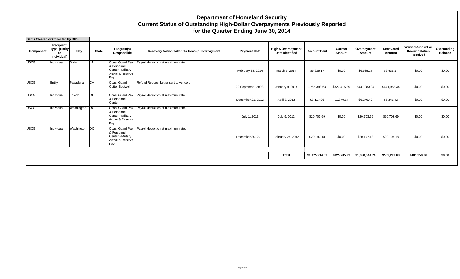| Debts Cleared or Collected by DHS |                                                |               |              |                                                                                |                                             |                     |                                                      |                    |                   |                       |                     |                                                      |                               |
|-----------------------------------|------------------------------------------------|---------------|--------------|--------------------------------------------------------------------------------|---------------------------------------------|---------------------|------------------------------------------------------|--------------------|-------------------|-----------------------|---------------------|------------------------------------------------------|-------------------------------|
| Component                         | Recipient<br>Type (Entity<br>or<br>Individual) | City          | <b>State</b> | Program(s)<br>Responsible                                                      | Recovery Action Taken To Recoup Overpayment | <b>Payment Date</b> | <b>High \$ Overpayment</b><br><b>Date Identified</b> | <b>Amount Paid</b> | Correct<br>Amount | Overpayment<br>Amount | Recovered<br>Amount | <b>Waived Amount or</b><br>Documentation<br>Received | Outstanding<br><b>Balance</b> |
| USCG                              | Individual                                     | Slidell       | <b>LA</b>    | Coast Guard Pay<br>& Personnel<br>Center - Military<br>Active & Reserve<br>Pay | Payroll deduction at maximum rate.          | February 28, 2014   | March 5, 2014                                        | \$6,635.17         | \$0.00            | \$6,635.17            | \$6,635.17          | \$0.00                                               | \$0.00                        |
| <b>USCG</b>                       | Entity                                         | Pasadena      | CA           | Coast Guard<br><b>Cutter Boutwell</b>                                          | Refund Request Letter sent to vendor.       | 22 September 2008.  | January 9, 2014                                      | \$765,398.63       | \$323,415.29      | \$441,983.34          | \$441,983.34        | \$0.00                                               | \$0.00                        |
| <b>USCG</b>                       | Individual                                     | Toledo        | OH           | Coast Guard Pay<br>& Personnel<br>Center                                       | Payroll deduction at maximum rate.          | December 21, 2012   | April 8, 2013                                        | \$8,117.06         | \$1,870.64        | \$6,246.42            | \$6,246.42          | \$0.00                                               | \$0.00                        |
| USCG                              | Individual                                     | Washington DC |              | Coast Guard Pay<br>& Personnel<br>Center - Military<br>Active & Reserve<br>Pay | Payroll deduction at maximum rate.          | July 1, 2013        | July 9, 2012                                         | \$20,703.69        | \$0.00            | \$20,703.69           | \$20,703.69         | \$0.00                                               | \$0.00                        |
| <b>USCG</b>                       | Individual                                     | Washington DC |              | Coast Guard Pay<br>& Personnel<br>Center - Militarv<br>Active & Reserve<br>Pay | Payroll deduction at maximum rate.          | December 30, 2011   | February 27, 2012                                    | \$20,197.18        | \$0.00            | \$20,197.18           | \$20,197.18         | \$0.00                                               | \$0.00                        |
|                                   |                                                |               |              |                                                                                |                                             |                     | <b>Total</b>                                         | \$1,375,934.67     | \$325,285.93      | \$1,050,648.74        | \$569,297.88        | \$481,350.86                                         | \$0.00                        |
|                                   |                                                |               |              |                                                                                |                                             |                     |                                                      |                    |                   |                       |                     |                                                      |                               |